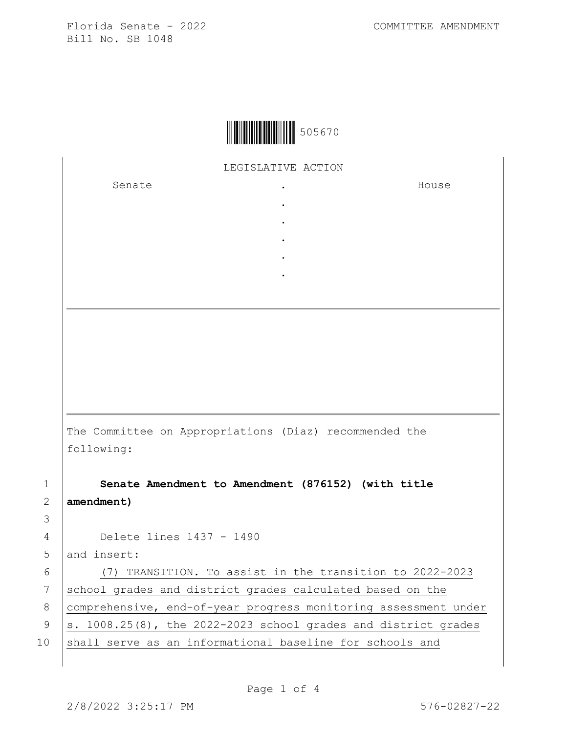

LEGISLATIVE ACTION

. . . . .

Senate .

House

The Committee on Appropriations (Diaz) recommended the following:

1 **Senate Amendment to Amendment (876152) (with title**  2 **amendment)**

4 Delete lines 1437 - 1490

5 and insert:

6 (7) TRANSITION.—To assist in the transition to 2022-2023 7 school grades and district grades calculated based on the 8 | comprehensive, end-of-year progress monitoring assessment under 9  $\vert$ s. 1008.25(8), the 2022-2023 school grades and district grades 10 shall serve as an informational baseline for schools and

3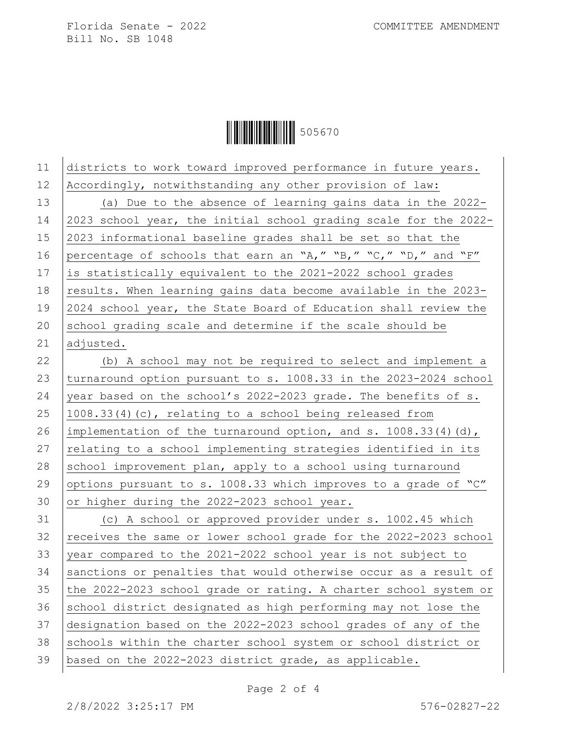

| 11 | districts to work toward improved performance in future years.    |
|----|-------------------------------------------------------------------|
| 12 | Accordingly, notwithstanding any other provision of law:          |
| 13 | (a) Due to the absence of learning gains data in the 2022-        |
| 14 | 2023 school year, the initial school grading scale for the 2022-  |
| 15 | 2023 informational baseline grades shall be set so that the       |
| 16 | percentage of schools that earn an "A," "B," "C," "D," and "F"    |
| 17 | is statistically equivalent to the 2021-2022 school grades        |
| 18 | results. When learning gains data become available in the 2023-   |
| 19 | 2024 school year, the State Board of Education shall review the   |
| 20 | school grading scale and determine if the scale should be         |
| 21 | adjusted.                                                         |
| 22 | (b) A school may not be required to select and implement a        |
| 23 | turnaround option pursuant to s. 1008.33 in the 2023-2024 school  |
| 24 | year based on the school's 2022-2023 grade. The benefits of s.    |
| 25 | 1008.33(4)(c), relating to a school being released from           |
| 26 | implementation of the turnaround option, and s. $1008.33(4)(d)$ , |
| 27 | relating to a school implementing strategies identified in its    |
| 28 | school improvement plan, apply to a school using turnaround       |
| 29 | options pursuant to s. 1008.33 which improves to a grade of "C"   |
| 30 | or higher during the 2022-2023 school year.                       |
| 31 | (c) A school or approved provider under s. 1002.45 which          |
| 32 | receives the same or lower school grade for the 2022-2023 school  |
| 33 | year compared to the 2021-2022 school year is not subject to      |
| 34 | sanctions or penalties that would otherwise occur as a result of  |
| 35 | the 2022-2023 school grade or rating. A charter school system or  |
| 36 | school district designated as high performing may not lose the    |
| 37 | designation based on the 2022-2023 school grades of any of the    |
| 38 | schools within the charter school system or school district or    |
| 39 | based on the 2022-2023 district grade, as applicable.             |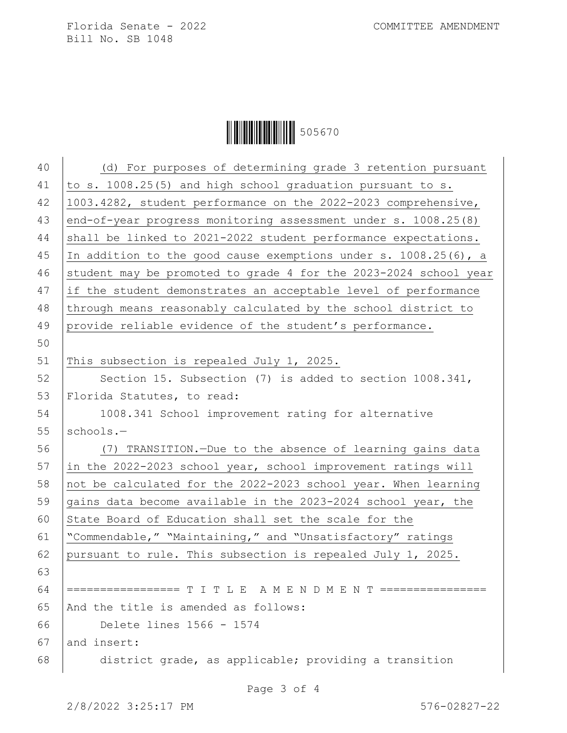|--|--|

| 40 |                                                                  |
|----|------------------------------------------------------------------|
|    | (d) For purposes of determining grade 3 retention pursuant       |
| 41 | to s. 1008.25(5) and high school graduation pursuant to s.       |
| 42 | 1003.4282, student performance on the 2022-2023 comprehensive,   |
| 43 | end-of-year progress monitoring assessment under s. 1008.25(8)   |
| 44 | shall be linked to 2021-2022 student performance expectations.   |
| 45 | In addition to the good cause exemptions under s. 1008.25(6), a  |
| 46 | student may be promoted to grade 4 for the 2023-2024 school year |
| 47 | if the student demonstrates an acceptable level of performance   |
| 48 | through means reasonably calculated by the school district to    |
| 49 | provide reliable evidence of the student's performance.          |
| 50 |                                                                  |
| 51 | This subsection is repealed July 1, 2025.                        |
| 52 | Section 15. Subsection (7) is added to section 1008.341,         |
| 53 | Florida Statutes, to read:                                       |
| 54 | 1008.341 School improvement rating for alternative               |
| 55 | schools.-                                                        |
| 56 | (7) TRANSITION. - Due to the absence of learning gains data      |
| 57 | in the 2022-2023 school year, school improvement ratings will    |
| 58 | not be calculated for the 2022-2023 school year. When learning   |
| 59 | gains data become available in the 2023-2024 school year, the    |
| 60 | State Board of Education shall set the scale for the             |
| 61 | "Commendable," "Maintaining," and "Unsatisfactory" ratings       |
| 62 | pursuant to rule. This subsection is repealed July 1, 2025.      |
| 63 |                                                                  |
| 64 | ================= T I T L E A M E N D M E N T ================   |
| 65 | And the title is amended as follows:                             |
| 66 | Delete lines 1566 - 1574                                         |
| 67 | and insert:                                                      |
| 68 | district grade, as applicable; providing a transition            |
|    |                                                                  |